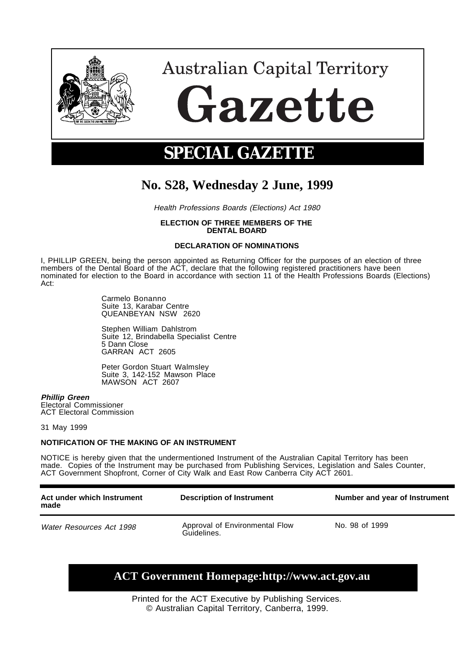

# **Australian Capital Territory** Gazette

# **SPECIAL GAZETTE**

## **No. S28, Wednesday 2 June, 1999**

Health Professions Boards (Elections) Act 1980

#### **ELECTION OF THREE MEMBERS OF THE DENTAL BOARD**

#### **DECLARATION OF NOMINATIONS**

I, PHILLIP GREEN, being the person appointed as Returning Officer for the purposes of an election of three members of the Dental Board of the ACT, declare that the following registered practitioners have been nominated for election to the Board in accordance with section 11 of the Health Professions Boards (Elections) Act:

> Carmelo Bonanno Suite 13, Karabar Centre QUEANBEYAN NSW 2620

Stephen William Dahlstrom Suite 12, Brindabella Specialist Centre 5 Dann Close GARRAN ACT 2605

Peter Gordon Stuart Walmsley Suite 3, 142-152 Mawson Place MAWSON ACT 2607

#### **Phillip Green**

Electoral Commissioner ACT Electoral Commission

31 May 1999

#### **NOTIFICATION OF THE MAKING OF AN INSTRUMENT**

NOTICE is hereby given that the undermentioned Instrument of the Australian Capital Territory has been made. Copies of the Instrument may be purchased from Publishing Services, Legislation and Sales Counter, ACT Government Shopfront, Corner of City Walk and East Row Canberra City ACT 2601.

| Act under which Instrument<br>made | <b>Description of Instrument</b>              | Number and year of Instrument |
|------------------------------------|-----------------------------------------------|-------------------------------|
| Water Resources Act 1998           | Approval of Environmental Flow<br>Guidelines. | No. 98 of 1999                |

### **ACT Government Homepage:http://www.act.gov.au**

Printed for the ACT Executive by Publishing Services. © Australian Capital Territory, Canberra, 1999.